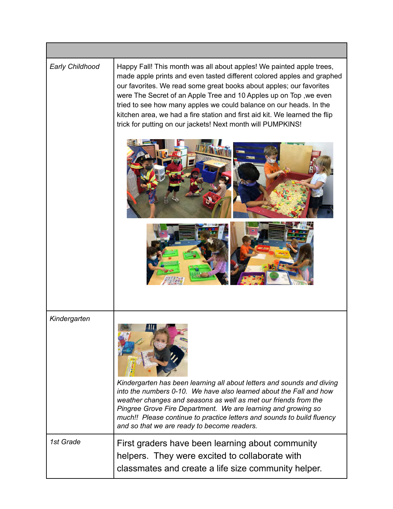| Early Childhood | Happy Fall! This month was all about apples! We painted apple trees,<br>made apple prints and even tasted different colored apples and graphed<br>our favorites. We read some great books about apples; our favorites<br>were The Secret of an Apple Tree and 10 Apples up on Top, we even<br>tried to see how many apples we could balance on our heads. In the<br>kitchen area, we had a fire station and first aid kit. We learned the flip<br>trick for putting on our jackets! Next month will PUMPKINS! |
|-----------------|---------------------------------------------------------------------------------------------------------------------------------------------------------------------------------------------------------------------------------------------------------------------------------------------------------------------------------------------------------------------------------------------------------------------------------------------------------------------------------------------------------------|
|                 |                                                                                                                                                                                                                                                                                                                                                                                                                                                                                                               |
| Kindergarten    | Kindergarten has been learning all about letters and sounds and diving<br>into the numbers 0-10. We have also learned about the Fall and how<br>weather changes and seasons as well as met our friends from the<br>Pingree Grove Fire Department. We are learning and growing so<br>much!! Please continue to practice letters and sounds to build fluency<br>and so that we are ready to become readers.                                                                                                     |
| 1st Grade       | First graders have been learning about community<br>helpers. They were excited to collaborate with<br>classmates and create a life size community helper.                                                                                                                                                                                                                                                                                                                                                     |